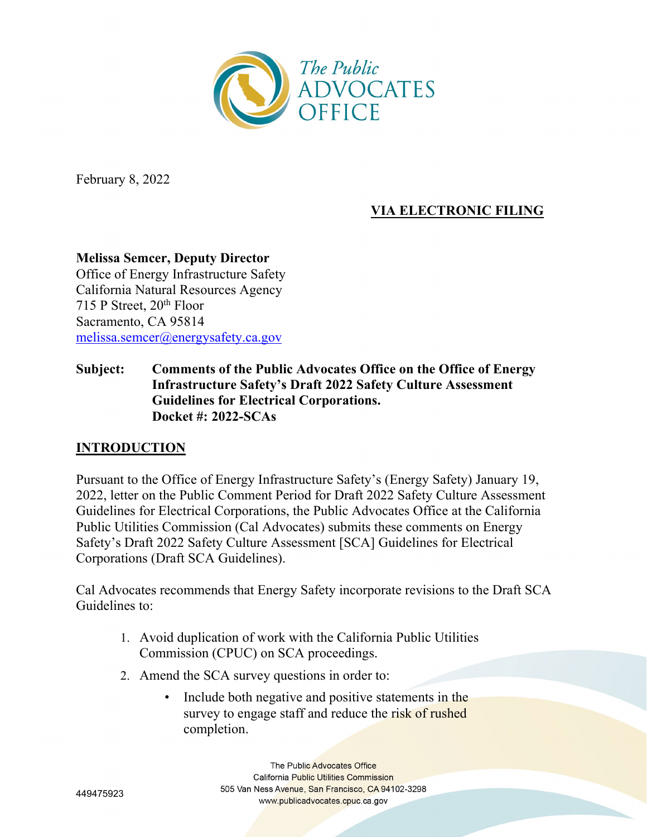

February 8, 2022

# **VIA ELECTRONIC FILING**

### **Melissa Semcer, Deputy Director** Office of Energy Infrastructure Safety California Natural Resources Agency 715 P Street,  $20<sup>th</sup>$  Floor Sacramento, CA 95814 [melissa.semcer@energysafety.ca.gov](mailto:melissa.semcer@energysafety.ca.gov)

### **Subject: Comments of the Public Advocates Office on the Office of Energy Infrastructure Safety's Draft 2022 Safety Culture Assessment Guidelines for Electrical Corporations. Docket #: 2022-SCAs**

#### **INTRODUCTION**

Pursuant to the Office of Energy Infrastructure Safety's (Energy Safety) January 19, 2022, letter on the Public Comment Period for Draft 2022 Safety Culture Assessment Guidelines for Electrical Corporations, the Public Advocates Office at the California Public Utilities Commission (Cal Advocates) submits these comments on Energy Safety's Draft 2022 Safety Culture Assessment [SCA] Guidelines for Electrical Corporations (Draft SCA Guidelines).

Cal Advocates recommends that Energy Safety incorporate revisions to the Draft SCA Guidelines to:

- 1. Avoid duplication of work with the California Public Utilities Commission (CPUC) on SCA proceedings.
- 2. Amend the SCA survey questions in order to:
	- Include both negative and positive statements in the survey to engage staff and reduce the risk of rushed completion.

The Public Advocates Office **California Public Utilities Commission** 505 Van Ness Avenue, San Francisco, CA 94102-3298 www.publicadvocates.cpuc.ca.gov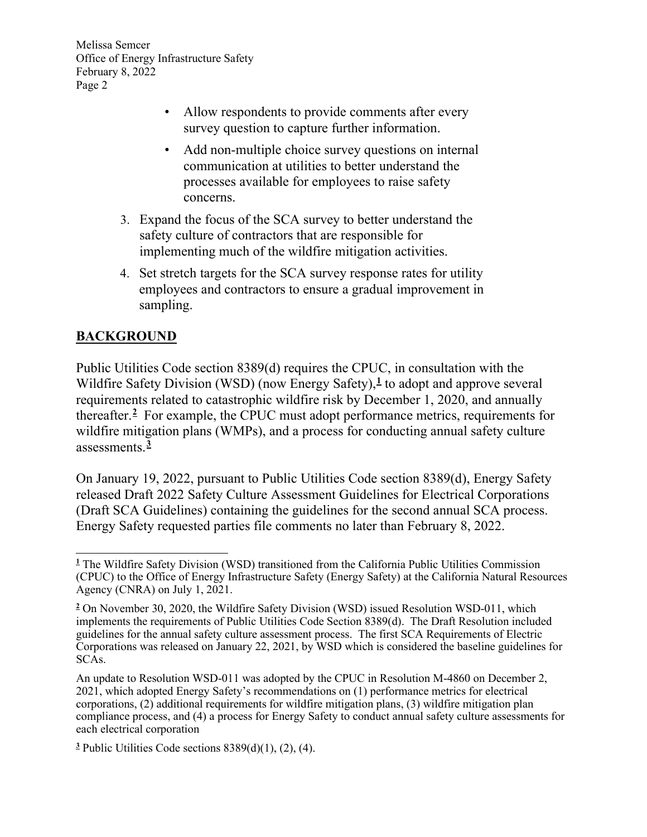- Allow respondents to provide comments after every survey question to capture further information.
- Add non-multiple choice survey questions on internal communication at utilities to better understand the processes available for employees to raise safety concerns.
- 3. Expand the focus of the SCA survey to better understand the safety culture of contractors that are responsible for implementing much of the wildfire mitigation activities.
- 4. Set stretch targets for the SCA survey response rates for utility employees and contractors to ensure a gradual improvement in sampling.

# **BACKGROUND**

Public Utilities Code section 8389(d) requires the CPUC, in consultation with the Wildfire Safety Division (WSD) (now Energy Safety),<sup>[1](#page-1-0)</sup> to adopt and approve several requirements related to catastrophic wildfire risk by December 1, 2020, and annually thereafter.**[2](#page-1-1)** For example, the CPUC must adopt performance metrics, requirements for wildfire mitigation plans (WMPs), and a process for conducting annual safety culture assessments.**[3](#page-1-2)**

On January 19, 2022, pursuant to Public Utilities Code section 8389(d), Energy Safety released Draft 2022 Safety Culture Assessment Guidelines for Electrical Corporations (Draft SCA Guidelines) containing the guidelines for the second annual SCA process. Energy Safety requested parties file comments no later than February 8, 2022.

<span id="page-1-0"></span>**<sup>1</sup>** The Wildfire Safety Division (WSD) transitioned from the California Public Utilities Commission (CPUC) to the Office of Energy Infrastructure Safety (Energy Safety) at the California Natural Resources Agency (CNRA) on July 1, 2021.

<span id="page-1-1"></span>**<sup>2</sup>** On November 30, 2020, the Wildfire Safety Division (WSD) issued Resolution WSD-011, which implements the requirements of Public Utilities Code Section 8389(d). The Draft Resolution included guidelines for the annual safety culture assessment process. The first SCA Requirements of Electric Corporations was released on January 22, 2021, by WSD which is considered the baseline guidelines for SCAs.

An update to Resolution WSD-011 was adopted by the CPUC in Resolution M-4860 on December 2, 2021, which adopted Energy Safety's recommendations on (1) performance metrics for electrical corporations, (2) additional requirements for wildfire mitigation plans, (3) wildfire mitigation plan compliance process, and (4) a process for Energy Safety to conduct annual safety culture assessments for each electrical corporation

<span id="page-1-2"></span>**<sup>3</sup>** Public Utilities Code sections 8389(d)(1), (2), (4).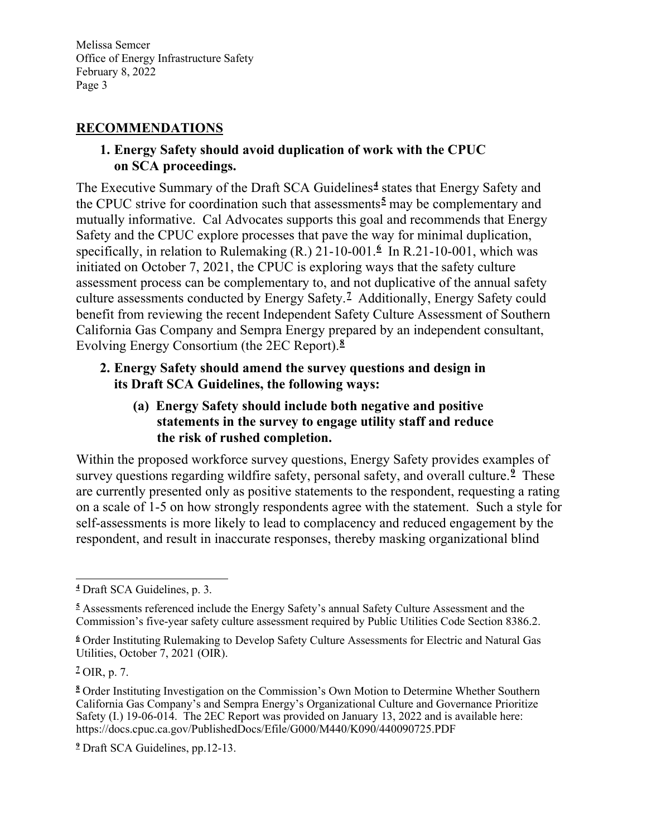### **RECOMMENDATIONS**

### **1. Energy Safety should avoid duplication of work with the CPUC on SCA proceedings.**

The Executive Summary of the Draft SCA Guidelines**[4](#page-2-0)** states that Energy Safety and the CPUC strive for coordination such that assessments**[5](#page-2-1)** may be complementary and mutually informative. Cal Advocates supports this goal and recommends that Energy Safety and the CPUC explore processes that pave the way for minimal duplication, specifically, in relation to Rulemaking (R.) 21-10-001.**[6](#page-2-2)** In R.21-10-001, which was initiated on October 7, 2021, the CPUC is exploring ways that the safety culture assessment process can be complementary to, and not duplicative of the annual safety culture assessments conducted by Energy Safety.**[7](#page-2-3)** Additionally, Energy Safety could benefit from reviewing the recent Independent Safety Culture Assessment of Southern California Gas Company and Sempra Energy prepared by an independent consultant, Evolving Energy Consortium (the 2EC Report).**[8](#page-2-4)**

### **2. Energy Safety should amend the survey questions and design in its Draft SCA Guidelines, the following ways:**

**(a) Energy Safety should include both negative and positive statements in the survey to engage utility staff and reduce the risk of rushed completion.**

Within the proposed workforce survey questions, Energy Safety provides examples of survey questions regarding wildfire safety, personal safety, and overall culture. **[9](#page-2-5)** These are currently presented only as positive statements to the respondent, requesting a rating on a scale of 1-5 on how strongly respondents agree with the statement. Such a style for self-assessments is more likely to lead to complacency and reduced engagement by the respondent, and result in inaccurate responses, thereby masking organizational blind

<span id="page-2-0"></span>**<sup>4</sup>** Draft SCA Guidelines, p. 3.

<span id="page-2-1"></span>**<sup>5</sup>** Assessments referenced include the Energy Safety's annual Safety Culture Assessment and the Commission's five-year safety culture assessment required by Public Utilities Code Section 8386.2.

<span id="page-2-2"></span>**<sup>6</sup>** Order Instituting Rulemaking to Develop Safety Culture Assessments for Electric and Natural Gas Utilities, October 7, 2021 (OIR).

<span id="page-2-3"></span>**<sup>7</sup>** OIR, p. 7.

<span id="page-2-4"></span>**<sup>8</sup>** Order Instituting Investigation on the Commission's Own Motion to Determine Whether Southern California Gas Company's and Sempra Energy's Organizational Culture and Governance Prioritize Safety (I.) 19-06-014. The 2EC Report was provided on January 13, 2022 and is available here: https://docs.cpuc.ca.gov/PublishedDocs/Efile/G000/M440/K090/440090725.PDF

<span id="page-2-5"></span>**<sup>9</sup>** Draft SCA Guidelines, pp.12-13.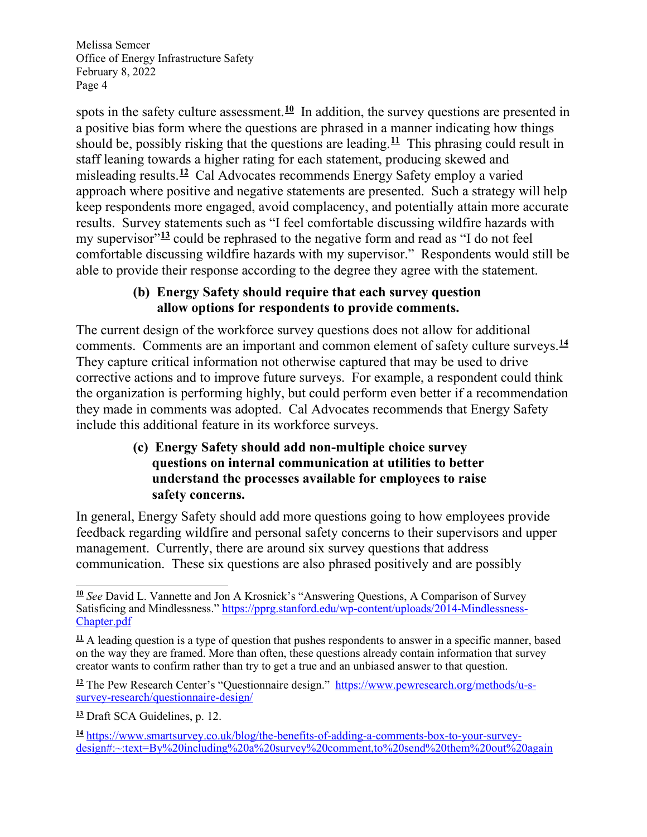spots in the safety culture assessment.<sup>[10](#page-3-0)</sup> In addition, the survey questions are presented in a positive bias form where the questions are phrased in a manner indicating how things should be, possibly risking that the questions are leading.**[11](#page-3-1)** This phrasing could result in staff leaning towards a higher rating for each statement, producing skewed and misleading results.**[12](#page-3-2)** Cal Advocates recommends Energy Safety employ a varied approach where positive and negative statements are presented. Such a strategy will help keep respondents more engaged, avoid complacency, and potentially attain more accurate results. Survey statements such as "I feel comfortable discussing wildfire hazards with my supervisor<sup>"[13](#page-3-3)</sup> could be rephrased to the negative form and read as "I do not feel comfortable discussing wildfire hazards with my supervisor." Respondents would still be able to provide their response according to the degree they agree with the statement.

## **(b) Energy Safety should require that each survey question allow options for respondents to provide comments.**

The current design of the workforce survey questions does not allow for additional comments. Comments are an important and common element of safety culture surveys.**[14](#page-3-4)** They capture critical information not otherwise captured that may be used to drive corrective actions and to improve future surveys. For example, a respondent could think the organization is performing highly, but could perform even better if a recommendation they made in comments was adopted. Cal Advocates recommends that Energy Safety include this additional feature in its workforce surveys.

## **(c) Energy Safety should add non-multiple choice survey questions on internal communication at utilities to better understand the processes available for employees to raise safety concerns.**

In general, Energy Safety should add more questions going to how employees provide feedback regarding wildfire and personal safety concerns to their supervisors and upper management. Currently, there are around six survey questions that address communication. These six questions are also phrased positively and are possibly

<span id="page-3-0"></span>**<sup>10</sup>** *See* David L. Vannette and Jon A Krosnick's "Answering Questions, A Comparison of Survey Satisficing and Mindlessness." [https://pprg.stanford.edu/wp-content/uploads/2014-Mindlessness-](https://pprg.stanford.edu/wp-content/uploads/2014-Mindlessness-Chapter.pdf)[Chapter.pdf](https://pprg.stanford.edu/wp-content/uploads/2014-Mindlessness-Chapter.pdf)

<span id="page-3-1"></span> $\frac{11}{11}$  A leading question is a type of question that pushes respondents to answer in a specific manner, based on the way they are framed. More than often, these questions already contain information that survey creator wants to confirm rather than try to get a true and an unbiased answer to that question.

<span id="page-3-2"></span><sup>&</sup>lt;sup>12</sup> The Pew Research Center's "Questionnaire design." [https://www.pewresearch.org/methods/u-s](https://www.pewresearch.org/methods/u-s-survey-research/questionnaire-design/)[survey-research/questionnaire-design/](https://www.pewresearch.org/methods/u-s-survey-research/questionnaire-design/)

<span id="page-3-3"></span>**<sup>13</sup>** Draft SCA Guidelines, p. 12.

<span id="page-3-4"></span>**<sup>14</sup>** [https://www.smartsurvey.co.uk/blog/the-benefits-of-adding-a-comments-box-to-your-survey](https://www.smartsurvey.co.uk/blog/the-benefits-of-adding-a-comments-box-to-your-survey-design#:%7E:text=By%20including%20a%20survey%20comment,to%20send%20them%20out%20again)[design#:~:text=By%20including%20a%20survey%20comment,to%20send%20them%20out%20again](https://www.smartsurvey.co.uk/blog/the-benefits-of-adding-a-comments-box-to-your-survey-design#:%7E:text=By%20including%20a%20survey%20comment,to%20send%20them%20out%20again)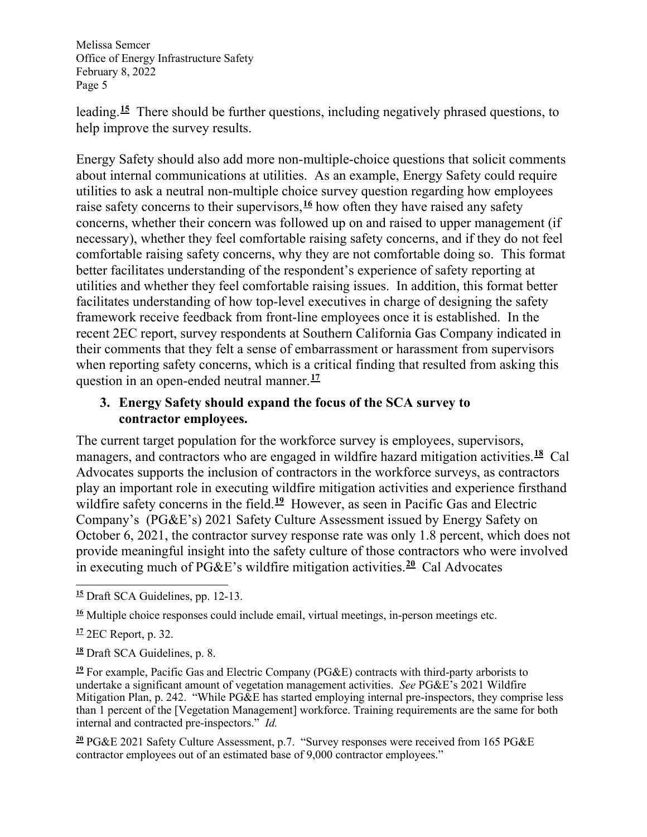leading.**[15](#page-4-0)** There should be further questions, including negatively phrased questions, to help improve the survey results.

Energy Safety should also add more non-multiple-choice questions that solicit comments about internal communications at utilities. As an example, Energy Safety could require utilities to ask a neutral non-multiple choice survey question regarding how employees raise safety concerns to their supervisors,**[16](#page-4-1)** how often they have raised any safety concerns, whether their concern was followed up on and raised to upper management (if necessary), whether they feel comfortable raising safety concerns, and if they do not feel comfortable raising safety concerns, why they are not comfortable doing so. This format better facilitates understanding of the respondent's experience of safety reporting at utilities and whether they feel comfortable raising issues. In addition, this format better facilitates understanding of how top-level executives in charge of designing the safety framework receive feedback from front-line employees once it is established. In the recent 2EC report, survey respondents at Southern California Gas Company indicated in their comments that they felt a sense of embarrassment or harassment from supervisors when reporting safety concerns, which is a critical finding that resulted from asking this question in an open-ended neutral manner. **[17](#page-4-2)**

### **3. Energy Safety should expand the focus of the SCA survey to contractor employees.**

The current target population for the workforce survey is employees, supervisors, managers, and contractors who are engaged in wildfire hazard mitigation activities.**[18](#page-4-3)** Cal Advocates supports the inclusion of contractors in the workforce surveys, as contractors play an important role in executing wildfire mitigation activities and experience firsthand wildfire safety concerns in the field.<sup>[19](#page-4-4)</sup> However, as seen in Pacific Gas and Electric Company's (PG&E's) 2021 Safety Culture Assessment issued by Energy Safety on October 6, 2021, the contractor survey response rate was only 1.8 percent, which does not provide meaningful insight into the safety culture of those contractors who were involved in executing much of PG&E's wildfire mitigation activities.**[20](#page-4-5)** Cal Advocates

<span id="page-4-3"></span>**<sup>18</sup>** Draft SCA Guidelines, p. 8.

<span id="page-4-4"></span>**<sup>19</sup>** For example, Pacific Gas and Electric Company (PG&E) contracts with third-party arborists to undertake a significant amount of vegetation management activities. *See* PG&E's 2021 Wildfire Mitigation Plan, p. 242. "While PG&E has started employing internal pre-inspectors, they comprise less than 1 percent of the [Vegetation Management] workforce. Training requirements are the same for both internal and contracted pre-inspectors." *Id.*

<span id="page-4-5"></span>**<sup>20</sup>** PG&E 2021 Safety Culture Assessment, p.7. "Survey responses were received from 165 PG&E contractor employees out of an estimated base of 9,000 contractor employees."

<span id="page-4-0"></span>**<sup>15</sup>** Draft SCA Guidelines, pp. 12-13.

<span id="page-4-1"></span><sup>&</sup>lt;sup>16</sup> Multiple choice responses could include email, virtual meetings, in-person meetings etc.

<span id="page-4-2"></span>**<sup>17</sup>** 2EC Report, p. 32.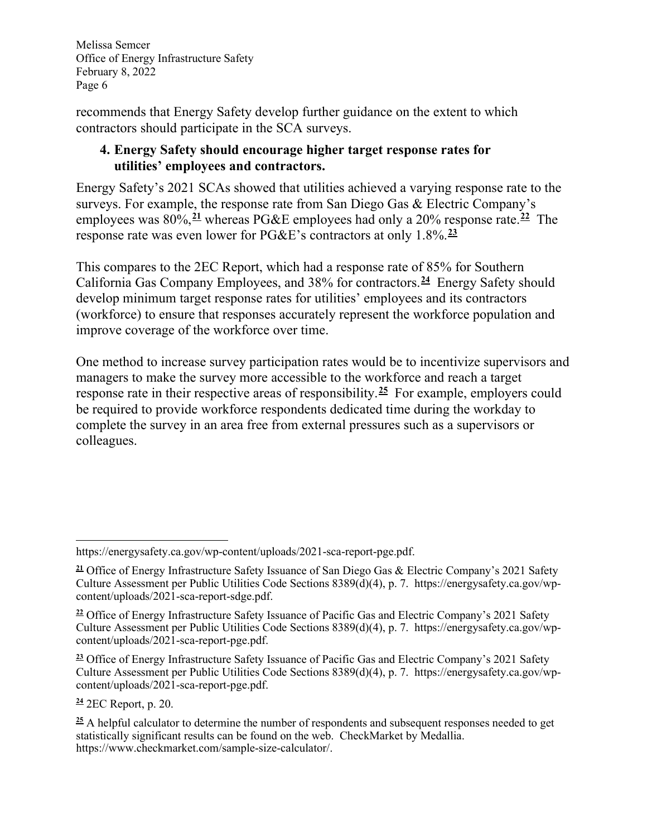recommends that Energy Safety develop further guidance on the extent to which contractors should participate in the SCA surveys.

## **4. Energy Safety should encourage higher target response rates for utilities' employees and contractors.**

Energy Safety's 2021 SCAs showed that utilities achieved a varying response rate to the surveys. For example, the response rate from San Diego Gas & Electric Company's employees was 80%,**[21](#page-5-0)** whereas PG&E employees had only a 20% response rate.**[22](#page-5-1)** The response rate was even lower for PG&E's contractors at only 1.8%.**[23](#page-5-2)**

This compares to the 2EC Report, which had a response rate of 85% for Southern California Gas Company Employees, and 38% for contractors.**[24](#page-5-3)** Energy Safety should develop minimum target response rates for utilities' employees and its contractors (workforce) to ensure that responses accurately represent the workforce population and improve coverage of the workforce over time.

One method to increase survey participation rates would be to incentivize supervisors and managers to make the survey more accessible to the workforce and reach a target response rate in their respective areas of responsibility.**[25](#page-5-4)** For example, employers could be required to provide workforce respondents dedicated time during the workday to complete the survey in an area free from external pressures such as a supervisors or colleagues.

<span id="page-5-2"></span>**<sup>23</sup>** Office of Energy Infrastructure Safety Issuance of Pacific Gas and Electric Company's 2021 Safety Culture Assessment per Public Utilities Code Sections 8389(d)(4), p. 7. https://energysafety.ca.gov/wpcontent/uploads/2021-sca-report-pge.pdf.

<span id="page-5-3"></span>**<sup>24</sup>** 2EC Report, p. 20.

<span id="page-5-4"></span>**<sup>25</sup>** A helpful calculator to determine the number of respondents and subsequent responses needed to get statistically significant results can be found on the web. CheckMarket by Medallia. https://www.checkmarket.com/sample-size-calculator/.

https://energysafety.ca.gov/wp-content/uploads/2021-sca-report-pge.pdf.

<span id="page-5-0"></span>**<sup>21</sup>** Office of Energy Infrastructure Safety Issuance of San Diego Gas & Electric Company's 2021 Safety Culture Assessment per Public Utilities Code Sections 8389(d)(4), p. 7. https://energysafety.ca.gov/wpcontent/uploads/2021-sca-report-sdge.pdf.

<span id="page-5-1"></span>**<sup>22</sup>** Office of Energy Infrastructure Safety Issuance of Pacific Gas and Electric Company's 2021 Safety Culture Assessment per Public Utilities Code Sections 8389(d)(4), p. 7. https://energysafety.ca.gov/wpcontent/uploads/2021-sca-report-pge.pdf.